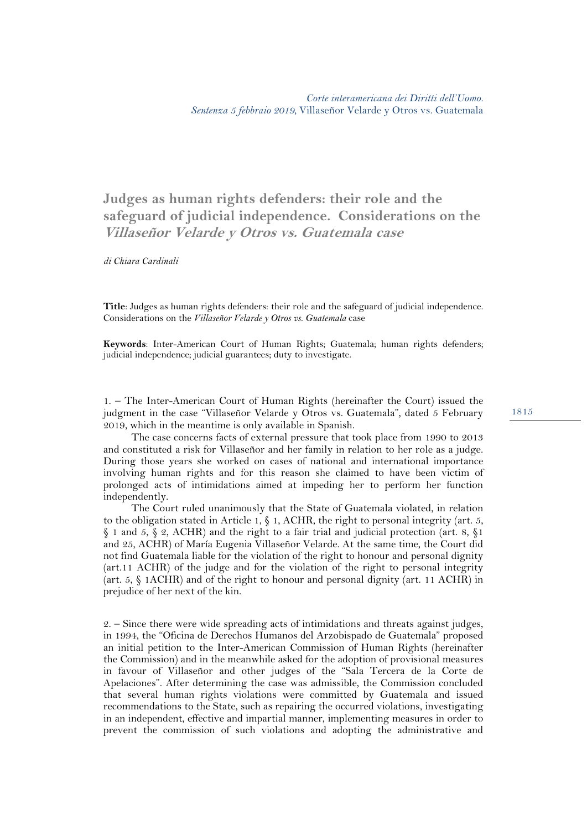**Judges as human rights defenders: their role and the safeguard of judicial independence. Considerations on the Villaseñor Velarde y Otros vs. Guatemala case**

*di Chiara Cardinali* 

**Title**: Judges as human rights defenders: their role and the safeguard of judicial independence. Considerations on the *Villaseñor Velarde y Otros vs. Guatemala* case

**Keywords**: Inter-American Court of Human Rights; Guatemala; human rights defenders; judicial independence; judicial guarantees; duty to investigate.

1. – The Inter-American Court of Human Rights (hereinafter the Court) issued the judgment in the case "Villaseñor Velarde y Otros vs. Guatemala", dated 5 February 2019, which in the meantime is only available in Spanish.

The case concerns facts of external pressure that took place from 1990 to 2013 and constituted a risk for Villaseñor and her family in relation to her role as a judge. During those years she worked on cases of national and international importance involving human rights and for this reason she claimed to have been victim of prolonged acts of intimidations aimed at impeding her to perform her function independently.

The Court ruled unanimously that the State of Guatemala violated, in relation to the obligation stated in Article 1,  $\S$  1, ACHR, the right to personal integrity (art. 5, § 1 and 5, § 2, ACHR) and the right to a fair trial and judicial protection (art. 8, §1 and 25, ACHR) of María Eugenia Villaseñor Velarde. At the same time, the Court did not find Guatemala liable for the violation of the right to honour and personal dignity (art.11 ACHR) of the judge and for the violation of the right to personal integrity (art. 5, § 1ACHR) and of the right to honour and personal dignity (art. 11 ACHR) in prejudice of her next of the kin.

2. – Since there were wide spreading acts of intimidations and threats against judges, in 1994, the "Oficina de Derechos Humanos del Arzobispado de Guatemala" proposed an initial petition to the Inter-American Commission of Human Rights (hereinafter the Commission) and in the meanwhile asked for the adoption of provisional measures in favour of Villaseñor and other judges of the "Sala Tercera de la Corte de Apelaciones". After determining the case was admissible, the Commission concluded that several human rights violations were committed by Guatemala and issued recommendations to the State, such as repairing the occurred violations, investigating in an independent, effective and impartial manner, implementing measures in order to prevent the commission of such violations and adopting the administrative and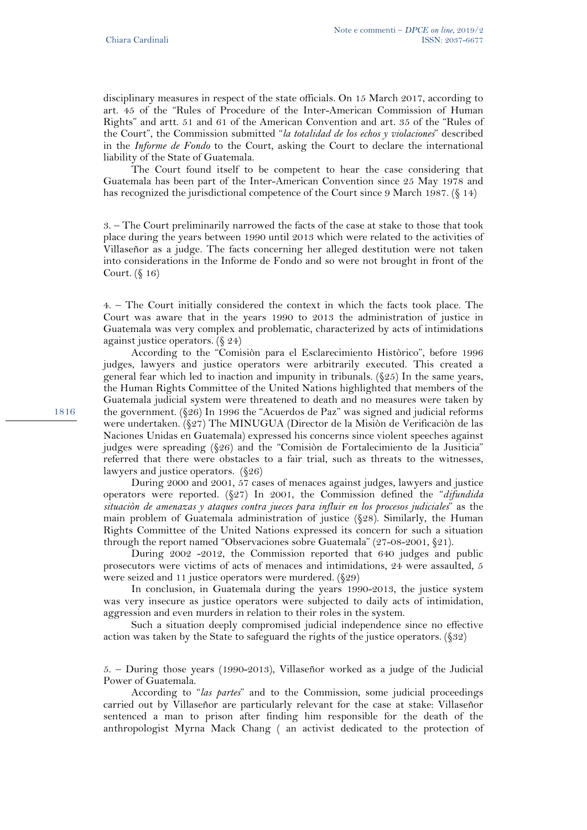disciplinary measures in respect of the state officials. On 15 March 2017, according to art. 45 of the "Rules of Procedure of the Inter-American Commission of Human Rights" and artt. 51 and 61 of the American Convention and art. 35 of the "Rules of the Court", the Commission submitted "*la totalidad de los echos y violaciones*" described in the *Informe de Fondo* to the Court, asking the Court to declare the international liability of the State of Guatemala.

The Court found itself to be competent to hear the case considering that Guatemala has been part of the Inter-American Convention since 25 May 1978 and has recognized the jurisdictional competence of the Court since 9 March 1987. (§ 14)

3. – The Court preliminarily narrowed the facts of the case at stake to those that took place during the years between 1990 until 2013 which were related to the activities of Villaseñor as a judge. The facts concerning her alleged destitution were not taken into considerations in the Informe de Fondo and so were not brought in front of the Court. (§ 16)

4. – The Court initially considered the context in which the facts took place. The Court was aware that in the years 1990 to 2013 the administration of justice in Guatemala was very complex and problematic, characterized by acts of intimidations against justice operators. (§ 24)

According to the "Comisiòn para el Esclarecimiento Històrico", before 1996 judges, lawyers and justice operators were arbitrarily executed. This created a general fear which led to inaction and impunity in tribunals. (§25) In the same years, the Human Rights Committee of the United Nations highlighted that members of the Guatemala judicial system were threatened to death and no measures were taken by the government. (§26) In 1996 the "Acuerdos de Paz" was signed and judicial reforms were undertaken. (§27) The MINUGUA (Director de la Misiòn de Verificaciòn de las Naciones Unidas en Guatemala) expressed his concerns since violent speeches against judges were spreading (§26) and the "Comisiòn de Fortalecimiento de la Jusiticia" referred that there were obstacles to a fair trial, such as threats to the witnesses, lawyers and justice operators. (§26)

During 2000 and 2001, 57 cases of menaces against judges, lawyers and justice operators were reported. (§27) In 2001, the Commission defined the "*difundida situaciòn de amenazas y ataques contra jueces para influir en los procesos judiciales*" as the main problem of Guatemala administration of justice (§28). Similarly, the Human Rights Committee of the United Nations expressed its concern for such a situation through the report named "Observaciones sobre Guatemala" (27-08-2001, §21).

During 2002 -2012, the Commission reported that 640 judges and public prosecutors were victims of acts of menaces and intimidations, 24 were assaulted, 5 were seized and 11 justice operators were murdered. (§29)

In conclusion, in Guatemala during the years 1990-2013, the justice system was very insecure as justice operators were subjected to daily acts of intimidation, aggression and even murders in relation to their roles in the system.

Such a situation deeply compromised judicial independence since no effective action was taken by the State to safeguard the rights of the justice operators. (§32)

5. – During those years (1990-2013), Villaseñor worked as a judge of the Judicial Power of Guatemala.

According to "*las partes*" and to the Commission, some judicial proceedings carried out by Villaseñor are particularly relevant for the case at stake: Villaseñor sentenced a man to prison after finding him responsible for the death of the anthropologist Myrna Mack Chang ( an activist dedicated to the protection of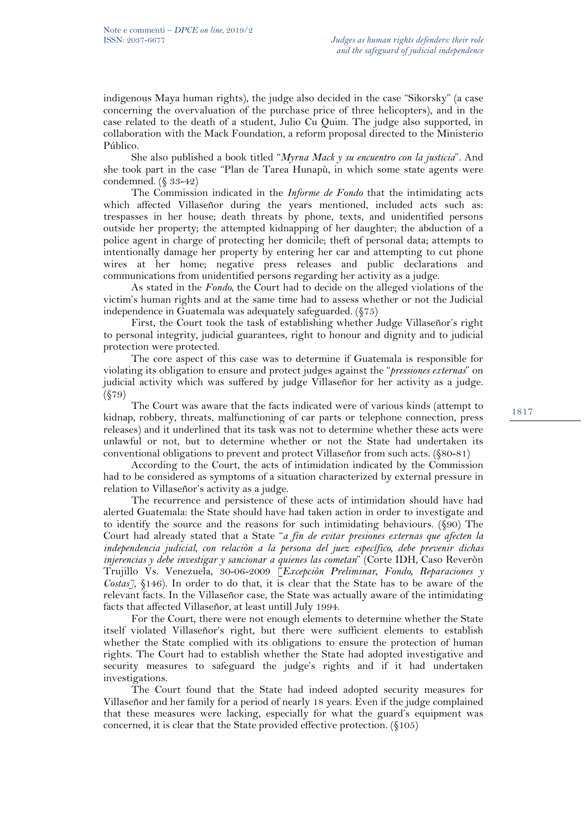indigenous Maya human rights), the judge also decided in the case "Sikorsky" (a case concerning the overvaluation of the purchase price of three helicopters), and in the case related to the death of a student, Julio Cu Quim. The judge also supported, in collaboration with the Mack Foundation, a reform proposal directed to the Ministerio Público.

She also published a book titled "*Myrna Mack y su encuentro con la justicia*". And she took part in the case "Plan de Tarea Hunapù, in which some state agents were condemned. (§ 33-42)

The Commission indicated in the *Informe de Fondo* that the intimidating acts which affected Villaseñor during the years mentioned, included acts such as: trespasses in her house; death threats by phone, texts, and unidentified persons outside her property; the attempted kidnapping of her daughter; the abduction of a police agent in charge of protecting her domicile; theft of personal data; attempts to intentionally damage her property by entering her car and attempting to cut phone wires at her home; negative press releases and public declarations and communications from unidentified persons regarding her activity as a judge.

As stated in the *Fondo,* the Court had to decide on the alleged violations of the victim's human rights and at the same time had to assess whether or not the Judicial independence in Guatemala was adequately safeguarded. (§75)

First, the Court took the task of establishing whether Judge Villaseñor's right to personal integrity, judicial guarantees, right to honour and dignity and to judicial protection were protected.

The core aspect of this case was to determine if Guatemala is responsible for violating its obligation to ensure and protect judges against the "*pressiones externas*" on judicial activity which was suffered by judge Villaseñor for her activity as a judge. (§79)

The Court was aware that the facts indicated were of various kinds (attempt to kidnap, robbery, threats, malfunctioning of car parts or telephone connection, press releases) and it underlined that its task was not to determine whether these acts were unlawful or not, but to determine whether or not the State had undertaken its conventional obligations to prevent and protect Villaseñor from such acts. (§80-81)

According to the Court, the acts of intimidation indicated by the Commission had to be considered as symptoms of a situation characterized by external pressure in relation to Villaseñor's activity as a judge.

The recurrence and persistence of these acts of intimidation should have had alerted Guatemala: the State should have had taken action in order to investigate and to identify the source and the reasons for such intimidating behaviours. (§90) The Court had already stated that a State "*a fin de evitar presiones externas que afecten la independencia judicial, con relaciòn a la persona del juez específico, debe prevenir dichas injerencias y debe investigar y sancionar a quienes las cometan*" (Corte IDH, Caso Reveròn Trujillo Vs. Venezuela, 30-06-2009 [*Excepciòn Preliminar, Fondo, Reparaciones y Costas]*, §146). In order to do that, it is clear that the State has to be aware of the relevant facts. In the Villaseñor case, the State was actually aware of the intimidating facts that affected Villaseñor, at least untill July 1994.

For the Court, there were not enough elements to determine whether the State itself violated Villaseñor's right, but there were sufficient elements to establish whether the State complied with its obligations to ensure the protection of human rights. The Court had to establish whether the State had adopted investigative and security measures to safeguard the judge's rights and if it had undertaken investigations.

The Court found that the State had indeed adopted security measures for Villaseñor and her family for a period of nearly 18 years. Even if the judge complained that these measures were lacking, especially for what the guard's equipment was concerned, it is clear that the State provided effective protection. (§105)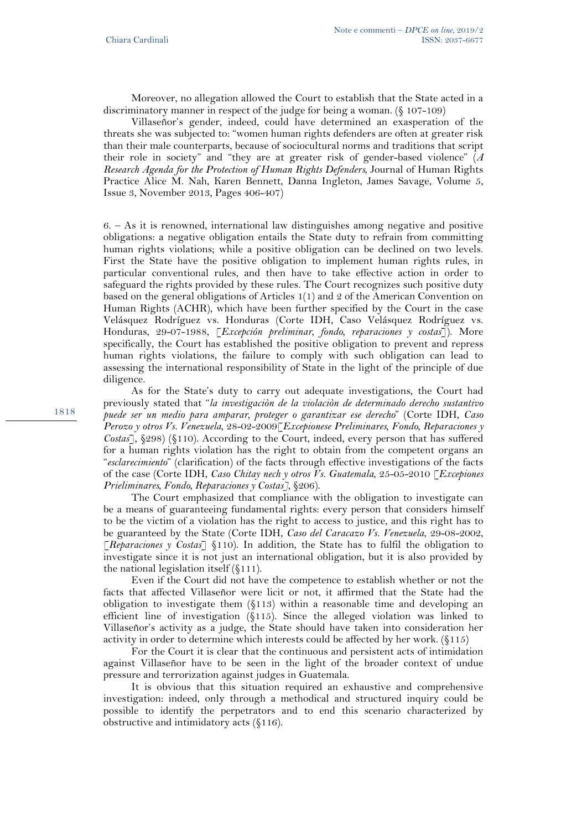Moreover, no allegation allowed the Court to establish that the State acted in a discriminatory manner in respect of the judge for being a woman. (§ 107-109)

Villaseñor's gender, indeed, could have determined an exasperation of the threats she was subjected to: "women human rights defenders are often at greater risk than their male counterparts, because of sociocultural norms and traditions that script their role in society" and "they are at greater risk of gender-based violence" (*A Research Agenda for the Protection of Human Rights Defenders*, Journal of Human Rights Practice Alice M. Nah, Karen Bennett, Danna Ingleton, James Savage, Volume 5, Issue 3, November 2013, Pages 406-407)

6. – As it is renowned, international law distinguishes among negative and positive obligations: a negative obligation entails the State duty to refrain from committing human rights violations; while a positive obligation can be declined on two levels. First the State have the positive obligation to implement human rights rules, in particular conventional rules, and then have to take effective action in order to safeguard the rights provided by these rules. The Court recognizes such positive duty based on the general obligations of Articles 1(1) and 2 of the American Convention on Human Rights (ACHR), which have been further specified by the Court in the case Velásquez Rodríguez vs. Honduras (Corte IDH, Caso Velásquez Rodríguez vs. Honduras, 29-07-1988, [*Excepción preliminar, fondo, reparaciones y costas*]). More specifically, the Court has established the positive obligation to prevent and repress human rights violations, the failure to comply with such obligation can lead to assessing the international responsibility of State in the light of the principle of due diligence.

As for the State's duty to carry out adequate investigations, the Court had previously stated that "*la investigaciòn de la violaciòn de determinado derecho sustantivo puede ser un medio para amparar, proteger o garantizar ese derecho*" (Corte IDH, *Caso Perozo y otros Vs. Venezuela*, 28-02-2009[*Excepionese Preliminares, Fondo, Reparaciones y Costas*], §298) (§110). According to the Court, indeed, every person that has suffered for a human rights violation has the right to obtain from the competent organs an "*esclarecimiento*" (clarification) of the facts through effective investigations of the facts of the case (Corte IDH, *Caso Chitay nech y otros Vs. Guatemala*, 25-05-2010 [*Excepiones Prieliminares, Fondo, Reparaciones y Costas]*, §206).

The Court emphasized that compliance with the obligation to investigate can be a means of guaranteeing fundamental rights: every person that considers himself to be the victim of a violation has the right to access to justice, and this right has to be guaranteed by the State (Corte IDH, *Caso del Caracazo Vs. Venezuela*, 29-08-2002, [*Reparaciones y Costas*] §110). In addition, the State has to fulfil the obligation to investigate since it is not just an international obligation, but it is also provided by the national legislation itself (§111).

Even if the Court did not have the competence to establish whether or not the facts that affected Villaseñor were licit or not, it affirmed that the State had the obligation to investigate them (§113) within a reasonable time and developing an efficient line of investigation (§115). Since the alleged violation was linked to Villaseñor's activity as a judge, the State should have taken into consideration her activity in order to determine which interests could be affected by her work. (§115)

For the Court it is clear that the continuous and persistent acts of intimidation against Villaseñor have to be seen in the light of the broader context of undue pressure and terrorization against judges in Guatemala.

It is obvious that this situation required an exhaustive and comprehensive investigation: indeed, only through a methodical and structured inquiry could be possible to identify the perpetrators and to end this scenario characterized by obstructive and intimidatory acts (§116).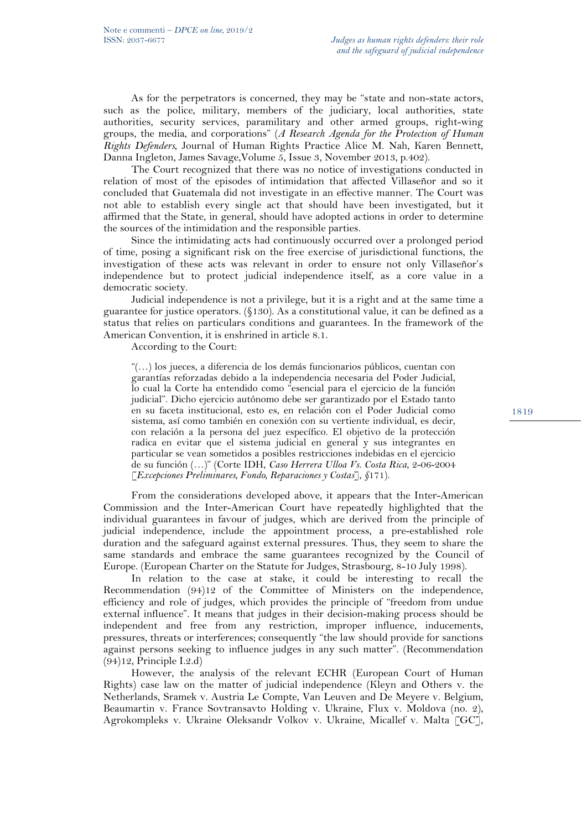As for the perpetrators is concerned, they may be "state and non-state actors, such as the police, military, members of the judiciary, local authorities, state authorities, security services, paramilitary and other armed groups, right-wing groups, the media, and corporations" (*A Research Agenda for the Protection of Human Rights Defenders*, Journal of Human Rights Practice Alice M. Nah, Karen Bennett, Danna Ingleton, James Savage,Volume 5, Issue 3, November 2013, p.402).

The Court recognized that there was no notice of investigations conducted in relation of most of the episodes of intimidation that affected Villaseñor and so it concluded that Guatemala did not investigate in an effective manner. The Court was not able to establish every single act that should have been investigated, but it affirmed that the State, in general, should have adopted actions in order to determine the sources of the intimidation and the responsible parties.

Since the intimidating acts had continuously occurred over a prolonged period of time, posing a significant risk on the free exercise of jurisdictional functions, the investigation of these acts was relevant in order to ensure not only Villaseñor's independence but to protect judicial independence itself, as a core value in a democratic society.

Judicial independence is not a privilege, but it is a right and at the same time a guarantee for justice operators. (§130). As a constitutional value, it can be defined as a status that relies on particulars conditions and guarantees. In the framework of the American Convention, it is enshrined in article 8.1.

According to the Court:

"(…) los jueces, a diferencia de los demás funcionarios públicos, cuentan con garantías reforzadas debido a la independencia necesaria del Poder Judicial, lo cual la Corte ha entendido como "esencial para el ejercicio de la función judicial". Dicho ejercicio autónomo debe ser garantizado por el Estado tanto en su faceta institucional, esto es, en relación con el Poder Judicial como sistema, así como también en conexión con su vertiente individual, es decir, con relación a la persona del juez específico. El objetivo de la protección radica en evitar que el sistema judicial en general y sus integrantes en particular se vean sometidos a posibles restricciones indebidas en el ejercicio de su función (…)" (Corte IDH, *Caso Herrera Ulloa Vs. Costa Rica*, 2-06-2004 [*Excepciones Preliminares, Fondo, Reparaciones y Costas*], *§*171).

From the considerations developed above, it appears that the Inter-American Commission and the Inter-American Court have repeatedly highlighted that the individual guarantees in favour of judges, which are derived from the principle of judicial independence, include the appointment process, a pre-established role duration and the safeguard against external pressures. Thus, they seem to share the same standards and embrace the same guarantees recognized by the Council of Europe. (European Charter on the Statute for Judges, Strasbourg, 8-10 July 1998).

In relation to the case at stake, it could be interesting to recall the Recommendation (94)12 of the Committee of Ministers on the independence, efficiency and role of judges, which provides the principle of "freedom from undue external influence". It means that judges in their decision-making process should be independent and free from any restriction, improper influence, inducements, pressures, threats or interferences; consequently "the law should provide for sanctions against persons seeking to influence judges in any such matter". (Recommendation (94)12, Principle I.2.d)

However, the analysis of the relevant ECHR (European Court of Human Rights) case law on the matter of judicial independence (Kleyn and Others v. the Netherlands, Sramek v. Austria Le Compte, Van Leuven and De Meyere v. Belgium, Beaumartin v. France Sovtransavto Holding v. Ukraine, Flux v. Moldova (no. 2), Agrokompleks v. Ukraine Oleksandr Volkov v. Ukraine, Micallef v. Malta [GC],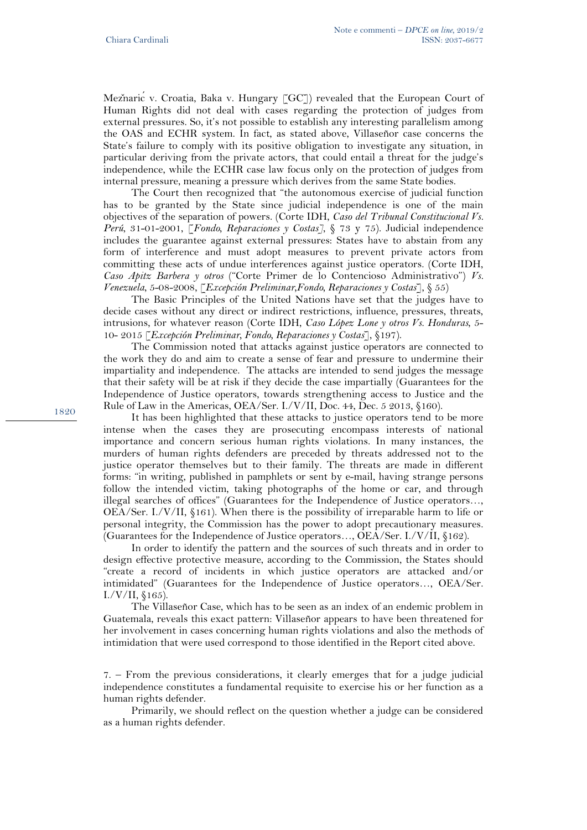Meznaric v. Croatia, Baka v. Hungary [GC]) revealed that the European Court of Human Rights did not deal with cases regarding the protection of judges from external pressures. So, it's not possible to establish any interesting parallelism among the OAS and ECHR system. In fact, as stated above, Villaseñor case concerns the State's failure to comply with its positive obligation to investigate any situation, in particular deriving from the private actors, that could entail a threat for the judge's independence, while the ECHR case law focus only on the protection of judges from internal pressure, meaning a pressure which derives from the same State bodies.

The Court then recognized that "the autonomous exercise of judicial function has to be granted by the State since judicial independence is one of the main objectives of the separation of powers. (Corte IDH, *Caso del Tribunal Constitucional Vs. Perú*, 31-01-2001, [*Fondo, Reparaciones y Costas]*, § 73 y 75). Judicial independence includes the guarantee against external pressures: States have to abstain from any form of interference and must adopt measures to prevent private actors from committing these acts of undue interferences against justice operators. (Corte IDH, *Caso Apitz Barbera y otros* ("Corte Primer de lo Contencioso Administrativo") *Vs. Venezuela*, 5-08-2008, [*Excepción Preliminar,Fondo, Reparaciones y Costas*], § 55)

The Basic Principles of the United Nations have set that the judges have to decide cases without any direct or indirect restrictions, influence, pressures, threats, intrusions, for whatever reason (Corte IDH, *Caso López Lone y otros Vs. Honduras*, 5- 10- 2015 [*Excepción Preliminar, Fondo, Reparaciones y Costas*], §197).

The Commission noted that attacks against justice operators are connected to the work they do and aim to create a sense of fear and pressure to undermine their impartiality and independence. The attacks are intended to send judges the message that their safety will be at risk if they decide the case impartially (Guarantees for the Independence of Justice operators, towards strengthening access to Justice and the Rule of Law in the Americas, OEA/Ser. I./V/II, Doc. 44, Dec. 5 2013, §160).

It has been highlighted that these attacks to justice operators tend to be more intense when the cases they are prosecuting encompass interests of national importance and concern serious human rights violations. In many instances, the murders of human rights defenders are preceded by threats addressed not to the justice operator themselves but to their family. The threats are made in different forms: "in writing, published in pamphlets or sent by e-mail, having strange persons follow the intended victim, taking photographs of the home or car, and through illegal searches of offices" (Guarantees for the Independence of Justice operators…, OEA/Ser. I./V/II, §161). When there is the possibility of irreparable harm to life or personal integrity, the Commission has the power to adopt precautionary measures. (Guarantees for the Independence of Justice operators…, OEA/Ser. I./V/II, §162).

In order to identify the pattern and the sources of such threats and in order to design effective protective measure, according to the Commission, the States should "create a record of incidents in which justice operators are attacked and/or intimidated" (Guarantees for the Independence of Justice operators…, OEA/Ser.  $I. / V / II$ , §165).

The Villaseñor Case, which has to be seen as an index of an endemic problem in Guatemala, reveals this exact pattern: Villaseñor appears to have been threatened for her involvement in cases concerning human rights violations and also the methods of intimidation that were used correspond to those identified in the Report cited above.

Primarily, we should reflect on the question whether a judge can be considered as a human rights defender.

<sup>7. –</sup> From the previous considerations, it clearly emerges that for a judge judicial independence constitutes a fundamental requisite to exercise his or her function as a human rights defender.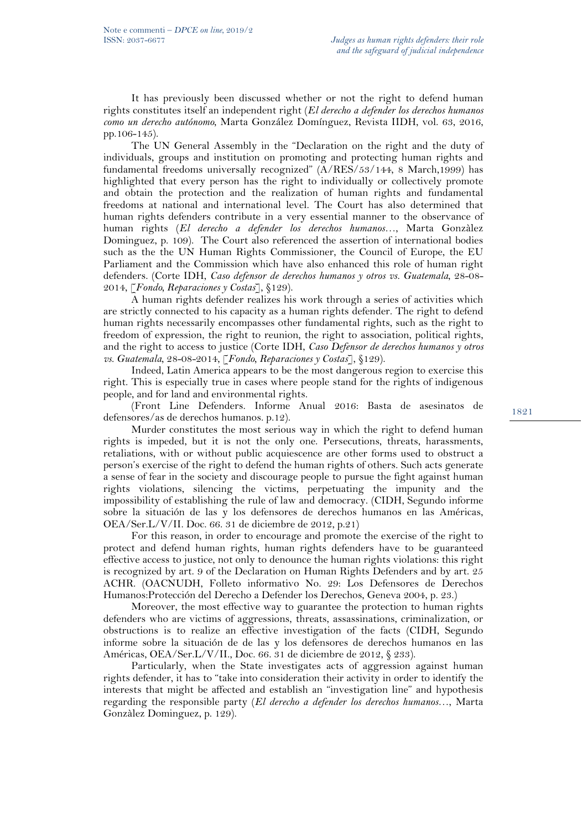It has previously been discussed whether or not the right to defend human rights constitutes itself an independent right (*El derecho a defender los derechos humanos como un derecho autónomo*, Marta González Domínguez, Revista IIDH, vol. 63, 2016, pp.106-145).

The UN General Assembly in the "Declaration on the right and the duty of individuals, groups and institution on promoting and protecting human rights and fundamental freedoms universally recognized" (A/RES/53/144, 8 March,1999) has highlighted that every person has the right to individually or collectively promote and obtain the protection and the realization of human rights and fundamental freedoms at national and international level. The Court has also determined that human rights defenders contribute in a very essential manner to the observance of human rights (*El derecho a defender los derechos humanos*…, Marta Gonzàlez Dominguez, p. 109). The Court also referenced the assertion of international bodies such as the the UN Human Rights Commissioner, the Council of Europe, the EU Parliament and the Commission which have also enhanced this role of human right defenders. (Corte IDH, *Caso defensor de derechos humanos y otros vs. Guatemala*, 28-08- 2014, [*Fondo, Reparaciones y Costas*], §129).

A human rights defender realizes his work through a series of activities which are strictly connected to his capacity as a human rights defender. The right to defend human rights necessarily encompasses other fundamental rights, such as the right to freedom of expression, the right to reunion, the right to association, political rights, and the right to access to justice (Corte IDH, *Caso Defensor de derechos humanos y otros vs. Guatemala*, 28-08-2014, [*Fondo, Reparaciones y Costas*], §129).

Indeed, Latin America appears to be the most dangerous region to exercise this right. This is especially true in cases where people stand for the rights of indigenous people, and for land and environmental rights.

(Front Line Defenders. Informe Anual 2016: Basta de asesinatos de defensores/as de derechos humanos. p.12).

Murder constitutes the most serious way in which the right to defend human rights is impeded, but it is not the only one. Persecutions, threats, harassments, retaliations, with or without public acquiescence are other forms used to obstruct a person's exercise of the right to defend the human rights of others. Such acts generate a sense of fear in the society and discourage people to pursue the fight against human rights violations, silencing the victims, perpetuating the impunity and the impossibility of establishing the rule of law and democracy. (CIDH, Segundo informe sobre la situación de las y los defensores de derechos humanos en las Américas, OEA/Ser.L/V/II. Doc. 66. 31 de diciembre de 2012, p.21)

For this reason, in order to encourage and promote the exercise of the right to protect and defend human rights, human rights defenders have to be guaranteed effective access to justice, not only to denounce the human rights violations: this right is recognized by art. 9 of the Declaration on Human Rights Defenders and by art. 25 ACHR. (OACNUDH, Folleto informativo No. 29: Los Defensores de Derechos Humanos:Protección del Derecho a Defender los Derechos, Geneva 2004, p. 23.)

Moreover, the most effective way to guarantee the protection to human rights defenders who are victims of aggressions, threats, assassinations, criminalization, or obstructions is to realize an effective investigation of the facts (CIDH, Segundo informe sobre la situación de de las y los defensores de derechos humanos en las Américas, OEA/Ser.L/V/II., Doc. 66. 31 de diciembre de 2012, § 233).

Particularly, when the State investigates acts of aggression against human rights defender, it has to "take into consideration their activity in order to identify the interests that might be affected and establish an "investigation line" and hypothesis regarding the responsible party (*El derecho a defender los derechos humanos*…, Marta Gonzàlez Dominguez, p. 129).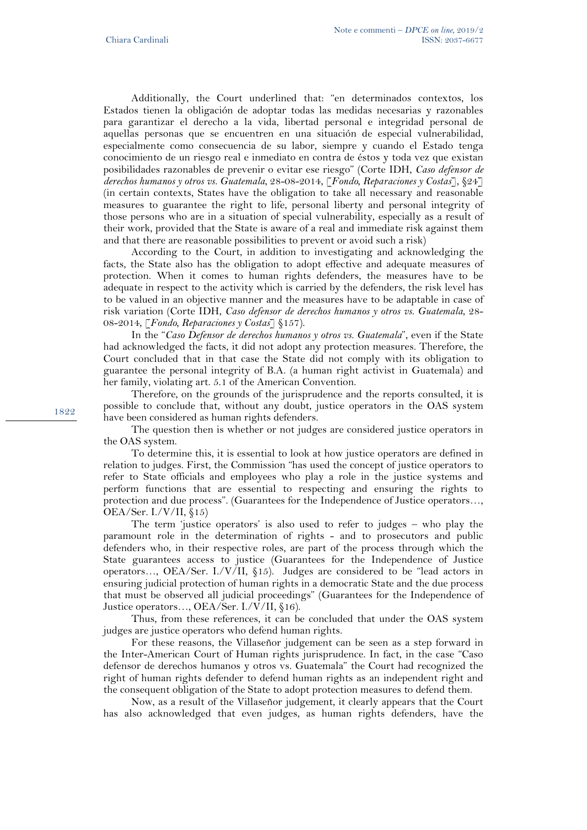Additionally, the Court underlined that: "en determinados contextos, los Estados tienen la obligación de adoptar todas las medidas necesarias y razonables para garantizar el derecho a la vida, libertad personal e integridad personal de aquellas personas que se encuentren en una situación de especial vulnerabilidad, especialmente como consecuencia de su labor, siempre y cuando el Estado tenga conocimiento de un riesgo real e inmediato en contra de éstos y toda vez que existan posibilidades razonables de prevenir o evitar ese riesgo" (Corte IDH, *Caso defensor de derechos humanos y otros vs. Guatemala*, 28-08-2014, [*Fondo, Reparaciones y Costas*], §24] (in certain contexts, States have the obligation to take all necessary and reasonable measures to guarantee the right to life, personal liberty and personal integrity of those persons who are in a situation of special vulnerability, especially as a result of their work, provided that the State is aware of a real and immediate risk against them and that there are reasonable possibilities to prevent or avoid such a risk)

According to the Court, in addition to investigating and acknowledging the facts, the State also has the obligation to adopt effective and adequate measures of protection. When it comes to human rights defenders, the measures have to be adequate in respect to the activity which is carried by the defenders, the risk level has to be valued in an objective manner and the measures have to be adaptable in case of risk variation (Corte IDH, *Caso defensor de derechos humanos y otros vs. Guatemala*, 28- 08-2014, [*Fondo, Reparaciones y Costas*] §157).

In the "*Caso Defensor de derechos humanos y otros vs. Guatemala*", even if the State had acknowledged the facts, it did not adopt any protection measures. Therefore, the Court concluded that in that case the State did not comply with its obligation to guarantee the personal integrity of B.A. (a human right activist in Guatemala) and her family, violating art. 5.1 of the American Convention.

Therefore, on the grounds of the jurisprudence and the reports consulted, it is possible to conclude that, without any doubt, justice operators in the OAS system have been considered as human rights defenders.

The question then is whether or not judges are considered justice operators in the OAS system.

To determine this, it is essential to look at how justice operators are defined in relation to judges. First, the Commission "has used the concept of justice operators to refer to State officials and employees who play a role in the justice systems and perform functions that are essential to respecting and ensuring the rights to protection and due process". (Guarantees for the Independence of Justice operators…, OEA/Ser. I./V/II, §15)

The term 'justice operators' is also used to refer to judges – who play the paramount role in the determination of rights - and to prosecutors and public defenders who, in their respective roles, are part of the process through which the State guarantees access to justice (Guarantees for the Independence of Justice operators…, OEA/Ser. I./V/II, §15). Judges are considered to be "lead actors in ensuring judicial protection of human rights in a democratic State and the due process that must be observed all judicial proceedings" (Guarantees for the Independence of Justice operators…, OEA/Ser. I./V/II, §16).

Thus, from these references, it can be concluded that under the OAS system judges are justice operators who defend human rights.

For these reasons, the Villaseñor judgement can be seen as a step forward in the Inter-American Court of Human rights jurisprudence. In fact, in the case "Caso defensor de derechos humanos y otros vs. Guatemala" the Court had recognized the right of human rights defender to defend human rights as an independent right and the consequent obligation of the State to adopt protection measures to defend them.

Now, as a result of the Villaseñor judgement, it clearly appears that the Court has also acknowledged that even judges, as human rights defenders, have the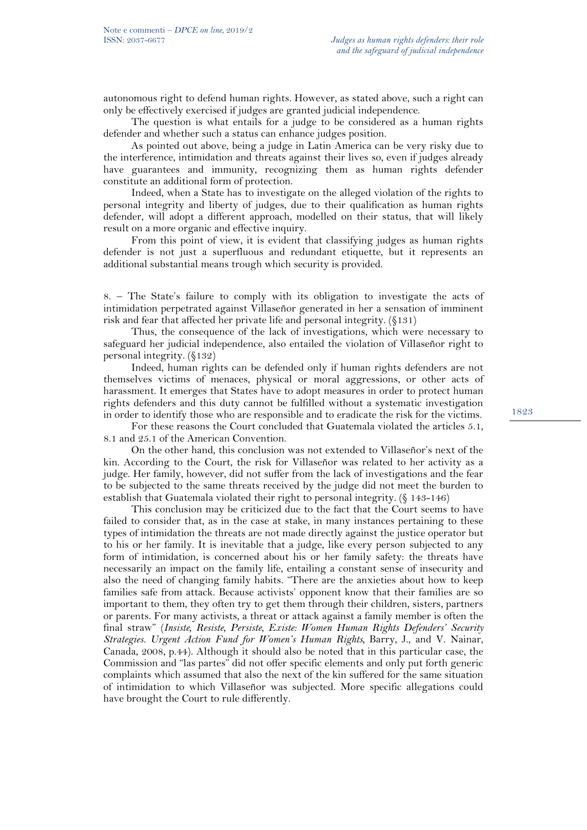autonomous right to defend human rights. However, as stated above, such a right can only be effectively exercised if judges are granted judicial independence.

The question is what entails for a judge to be considered as a human rights defender and whether such a status can enhance judges position.

As pointed out above, being a judge in Latin America can be very risky due to the interference, intimidation and threats against their lives so, even if judges already have guarantees and immunity, recognizing them as human rights defender constitute an additional form of protection.

Indeed, when a State has to investigate on the alleged violation of the rights to personal integrity and liberty of judges, due to their qualification as human rights defender, will adopt a different approach, modelled on their status, that will likely result on a more organic and effective inquiry.

From this point of view, it is evident that classifying judges as human rights defender is not just a superfluous and redundant etiquette, but it represents an additional substantial means trough which security is provided.

8. – The State's failure to comply with its obligation to investigate the acts of intimidation perpetrated against Villaseñor generated in her a sensation of imminent risk and fear that affected her private life and personal integrity. (§131)

Thus, the consequence of the lack of investigations, which were necessary to safeguard her judicial independence, also entailed the violation of Villaseñor right to personal integrity. (§132)

Indeed, human rights can be defended only if human rights defenders are not themselves victims of menaces, physical or moral aggressions, or other acts of harassment. It emerges that States have to adopt measures in order to protect human rights defenders and this duty cannot be fulfilled without a systematic investigation in order to identify those who are responsible and to eradicate the risk for the victims.

For these reasons the Court concluded that Guatemala violated the articles 5.1, 8.1 and 25.1 of the American Convention.

On the other hand, this conclusion was not extended to Villaseñor's next of the kin. According to the Court, the risk for Villaseñor was related to her activity as a judge. Her family, however, did not suffer from the lack of investigations and the fear to be subjected to the same threats received by the judge did not meet the burden to establish that Guatemala violated their right to personal integrity. (§ 143-146)

This conclusion may be criticized due to the fact that the Court seems to have failed to consider that, as in the case at stake, in many instances pertaining to these types of intimidation the threats are not made directly against the justice operator but to his or her family. It is inevitable that a judge, like every person subjected to any form of intimidation, is concerned about his or her family safety: the threats have necessarily an impact on the family life, entailing a constant sense of insecurity and also the need of changing family habits. "There are the anxieties about how to keep families safe from attack. Because activists' opponent know that their families are so important to them, they often try to get them through their children, sisters, partners or parents. For many activists, a threat or attack against a family member is often the final straw" (*Insiste, Resiste, Persiste, Existe: Women Human Rights Defenders' Security Strategies. Urgent Action Fund for Women's Human Rights,* Barry, J., and V. Nainar, Canada, 2008, p.44). Although it should also be noted that in this particular case, the Commission and "las partes" did not offer specific elements and only put forth generic complaints which assumed that also the next of the kin suffered for the same situation of intimidation to which Villaseñor was subjected. More specific allegations could have brought the Court to rule differently.